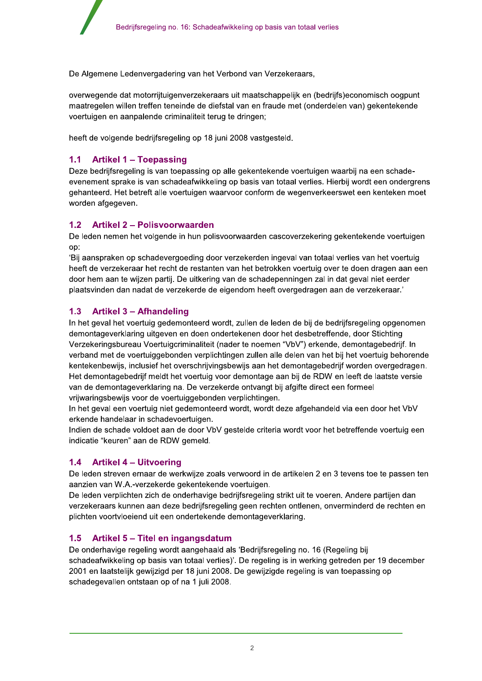De Algemene Ledenvergadering van het Verbond van Verzekeraars,

overwegende dat motorrijtuigenverzekeraars uit maatschappelijk en (bedrijfs)economisch oogpunt maatregelen willen treffen teneinde de diefstal van en fraude met (onderdelen van) gekentekende voertuigen en aanpalende criminaliteit terug te dringen;

heeft de volgende bedrijfsregeling op 18 juni 2008 vastgesteld.

#### $1.1$ **Artikel 1 - Toepassing**

Deze bedrijfsregeling is van toepassing op alle gekentekende voertuigen waarbij na een schadeevenement sprake is van schadeafwikkeling op basis van totaal verlies. Hierbij wordt een ondergrens gehanteerd. Het betreft alle voertuigen waarvoor conform de wegenverkeerswet een kenteken moet worden afgegeven.

#### **Artikel 2 - Polisvoorwaarden**  $1.2$

De leden nemen het volgende in hun polisvoorwaarden cascoverzekering gekentekende voertuigen op:

Bij aanspraken op schadevergoeding door verzekerden ingeval van totaal verlies van het voertuig heeft de verzekeraar het recht de restanten van het betrokken voertuig over te doen dragen aan een door hem aan te wijzen partij. De uitkering van de schadepenningen zal in dat geval niet eerder plaatsvinden dan nadat de verzekerde de eigendom heeft overgedragen aan de verzekeraar.'

#### $1.3$ **Artikel 3 - Afhandeling**

In het geval het voertuig gedemonteerd wordt, zullen de leden de bij de bedrijfsregeling opgenomen demontageverklaring uitgeven en doen ondertekenen door het desbetreffende, door Stichting Verzekeringsbureau Voertuigcriminaliteit (nader te noemen "VbV") erkende, demontagebedrijf. In verband met de voertuiggebonden verplichtingen zullen alle delen van het bij het voertuig behorende kentekenbewijs, inclusief het overschrijvingsbewijs aan het demontagebedrijf worden overgedragen. Het demontagebedrijf meldt het voertuig voor demontage aan bij de RDW en leeft de laatste versie van de demontageverklaring na. De verzekerde ontvangt bij afgifte direct een formeel vrijwaringsbewijs voor de voertuiggebonden verplichtingen.

In het geval een voertuig niet gedemonteerd wordt, wordt deze afgehandeld via een door het VbV erkende handelaar in schadevoertuigen.

Indien de schade voldoet aan de door VbV gestelde criteria wordt voor het betreffende voertuig een indicatie "keuren" aan de RDW gemeld.

#### $1.4$ **Artikel 4 – Uitvoering**

De leden streven ernaar de werkwijze zoals verwoord in de artikelen 2 en 3 tevens toe te passen ten aanzien van W.A.-verzekerde gekentekende voertuigen.

De leden verplichten zich de onderhavige bedrijfsregeling strikt uit te voeren. Andere partijen dan verzekeraars kunnen aan deze bedrijfsregeling geen rechten ontlenen, onverminderd de rechten en plichten voortvloeiend uit een ondertekende demontageverklaring.

# 1.5 Artikel 5 – Titel en ingangsdatum

De onderhavige regeling wordt aangehaald als 'Bedrijfsregeling no. 16 (Regeling bij schadeafwikkeling op basis van totaal verlies)'. De regeling is in werking getreden per 19 december 2001 en laatstelijk gewijzigd per 18 juni 2008. De gewijzigde regeling is van toepassing op schadegevallen ontstaan op of na 1 juli 2008.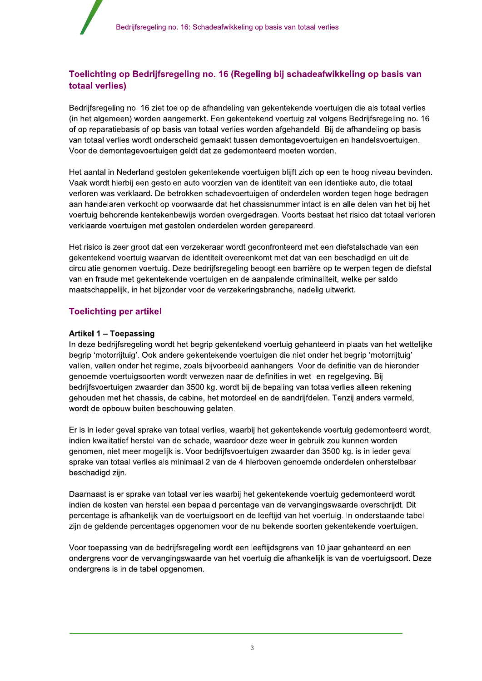# Toelichting op Bedrijfsregeling no. 16 (Regeling bij schadeafwikkeling op basis van **totaal verlies)**

Bedrijfsregeling no. 16 ziet toe op de afhandeling van gekentekende voertuigen die als totaal verlies (in het algemeen) worden aangemerkt. Een gekentekend voertuig zal volgens Bedrijfsregeling no. 16 of op reparatiebasis of op basis van totaal verlies worden afgehandeld. Bij de afhandeling op basis van totaal verlies wordt onderscheid gemaakt tussen demontagevoertuigen en handelsvoertuigen. Voor de demontagevoertuigen geldt dat ze gedemonteerd moeten worden.

Het aantal in Nederland gestolen gekentekende voertuigen blijft zich op een te hoog niveau bevinden. Vaak wordt hierbij een gestolen auto voorzien van de identiteit van een identieke auto, die totaal verloren was verklaard. De betrokken schadevoertuigen of onderdelen worden tegen hoge bedragen aan handelaren verkocht op voorwaarde dat het chassisnummer intact is en alle delen van het bij het voertuig behorende kentekenbewijs worden overgedragen. Voorts bestaat het risico dat totaal verloren verklaarde voertuigen met gestolen onderdelen worden gerepareerd.

Het risico is zeer groot dat een verzekeraar wordt geconfronteerd met een diefstalschade van een gekentekend voertuig waarvan de identiteit overeenkomt met dat van een beschadigd en uit de circulatie genomen voertuig. Deze bedrijfsregeling beoogt een barrière op te werpen tegen de diefstal van en fraude met gekentekende voertuigen en de aanpalende criminaliteit, welke per saldo maatschappelijk, in het bijzonder voor de verzekeringsbranche, nadelig uitwerkt.

# **Toelichting per artikel**

## Artikel 1 - Toepassing

In deze bedrijfsregeling wordt het begrip gekentekend voertuig gehanteerd in plaats van het wettelijke begrip 'motorrijtuig'. Ook andere gekentekende voertuigen die niet onder het begrip 'motorrijtuig' vallen, vallen onder het regime, zoals bijvoorbeeld aanhangers. Voor de definitie van de hieronder genoemde voertuigsoorten wordt verwezen naar de definities in wet- en regelgeving. Bij bedrijfsvoertuigen zwaarder dan 3500 kg. wordt bij de bepaling van totaalverlies alleen rekening gehouden met het chassis, de cabine, het motordeel en de aandrijfdelen. Tenzij anders vermeld, wordt de opbouw buiten beschouwing gelaten.

Er is in ieder geval sprake van totaal verlies, waarbij het gekentekende voertuig gedemonteerd wordt, indien kwalitatief herstel van de schade, waardoor deze weer in gebruik zou kunnen worden genomen, niet meer mogelijk is. Voor bedrijfsvoertuigen zwaarder dan 3500 kg. is in ieder geval sprake van totaal verlies als minimaal 2 van de 4 hierboven genoemde onderdelen onherstelbaar beschadigd zijn.

Daarnaast is er sprake van totaal verlies waarbij het gekentekende voertuig gedemonteerd wordt indien de kosten van herstel een bepaald percentage van de vervangingswaarde overschrijdt. Dit percentage is afhankelijk van de voertuigsoort en de leeftijd van het voertuig. In onderstaande tabel zijn de geldende percentages opgenomen voor de nu bekende soorten gekentekende voertuigen.

Voor toepassing van de bedrijfsregeling wordt een leeftijdsgrens van 10 jaar gehanteerd en een ondergrens voor de vervangingswaarde van het voertuig die afhankelijk is van de voertuigsoort. Deze ondergrens is in de tabel opgenomen.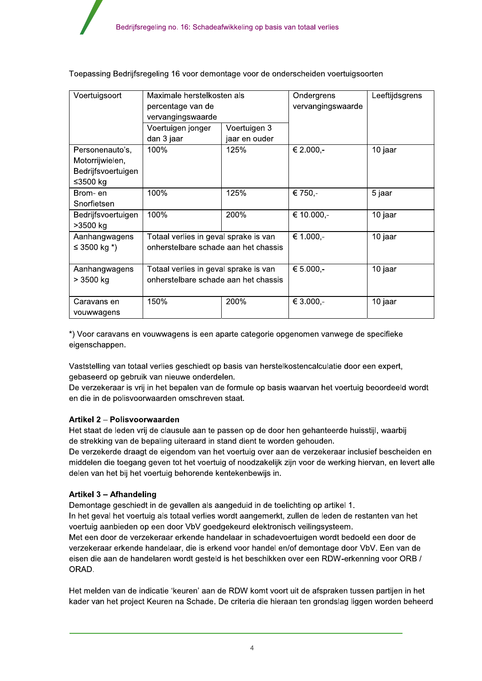| Voertuigsoort      | Maximale herstelkosten als            |               | Ondergrens        | Leeftijdsgrens |
|--------------------|---------------------------------------|---------------|-------------------|----------------|
|                    | percentage van de                     |               | vervangingswaarde |                |
|                    | vervangingswaarde                     |               |                   |                |
|                    | Voertuigen jonger                     | Voertuigen 3  |                   |                |
|                    | dan 3 jaar                            | jaar en ouder |                   |                |
| Personenauto's,    | 100%                                  | 125%          | € 2.000,-         | 10 jaar        |
| Motorrijwielen,    |                                       |               |                   |                |
| Bedrijfsvoertuigen |                                       |               |                   |                |
| ≤3500 kg           |                                       |               |                   |                |
| Brom-en            | 100%                                  | 125%          | € 750,-           | 5 jaar         |
| Snorfietsen        |                                       |               |                   |                |
| Bedrijfsvoertuigen | 100%                                  | 200%          | € 10.000,-        | 10 jaar        |
| >3500 kg           |                                       |               |                   |                |
| Aanhangwagens      | Totaal verlies in geval sprake is van |               | € 1.000,-         | 10 jaar        |
| ≤ 3500 kg $*)$     | onherstelbare schade aan het chassis  |               |                   |                |
|                    |                                       |               |                   |                |
| Aanhangwagens      | Totaal verlies in geval sprake is van |               | € 5.000,-         | 10 jaar        |
| $> 3500$ kg        | onherstelbare schade aan het chassis  |               |                   |                |
|                    |                                       |               |                   |                |
| Caravans en        | 150%                                  | 200%          | € 3.000,-         | 10 jaar        |
| vouwwagens         |                                       |               |                   |                |

Toepassing Bedrijfsregeling 16 voor demontage voor de onderscheiden voertuigsoorten

\*) Voor caravans en vouwwagens is een aparte categorie opgenomen vanwege de specifieke eigenschappen.

Vaststelling van totaal verlies geschiedt op basis van herstelkostencalculatie door een expert, gebaseerd op gebruik van nieuwe onderdelen.

De verzekeraar is vrij in het bepalen van de formule op basis waarvan het voertuig beoordeeld wordt en die in de polisvoorwaarden omschreven staat.

## Artikel 2 - Polisvoorwaarden

Het staat de leden vrij de clausule aan te passen op de door hen gehanteerde huisstijl, waarbij de strekking van de bepaling uiteraard in stand dient te worden gehouden.

De verzekerde draagt de eigendom van het voertuig over aan de verzekeraar inclusief bescheiden en middelen die toegang geven tot het voertuig of noodzakelijk zijn voor de werking hiervan, en levert alle delen van het bij het voertuig behorende kentekenbewijs in.

## Artikel 3 - Afhandeling

Demontage geschiedt in de gevallen als aangeduid in de toelichting op artikel 1.

In het geval het voertuig als totaal verlies wordt aangemerkt, zullen de leden de restanten van het voertuig aanbieden op een door VbV goedgekeurd elektronisch veilingsysteem.

Met een door de verzekeraar erkende handelaar in schadevoertuigen wordt bedoeld een door de verzekeraar erkende handelaar, die is erkend voor handel en/of demontage door VbV. Een van de eisen die aan de handelaren wordt gesteld is het beschikken over een RDW-erkenning voor ORB / ORAD.

Het melden van de indicatie 'keuren' aan de RDW komt voort uit de afspraken tussen partijen in het kader van het project Keuren na Schade. De criteria die hieraan ten grondslag liggen worden beheerd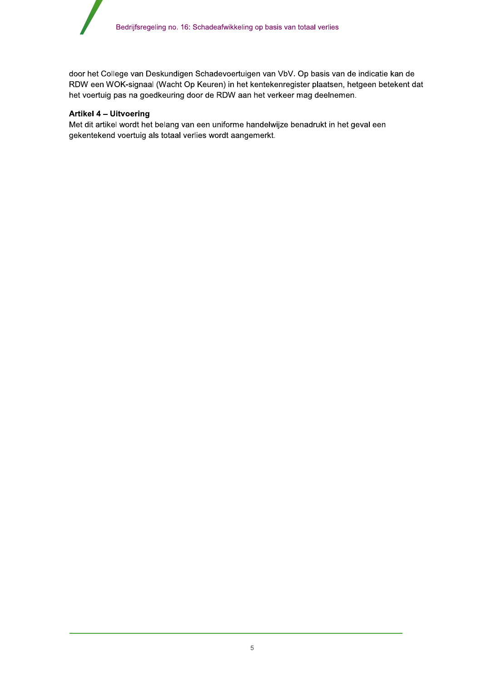door het College van Deskundigen Schadevoertuigen van VbV. Op basis van de indicatie kan de RDW een WOK-signaal (Wacht Op Keuren) in het kentekenregister plaatsen, hetgeen betekent dat het voertuig pas na goedkeuring door de RDW aan het verkeer mag deelnemen.

### Artikel 4 - Uitvoering

Met dit artikel wordt het belang van een uniforme handelwijze benadrukt in het geval een gekentekend voertuig als totaal verlies wordt aangemerkt.